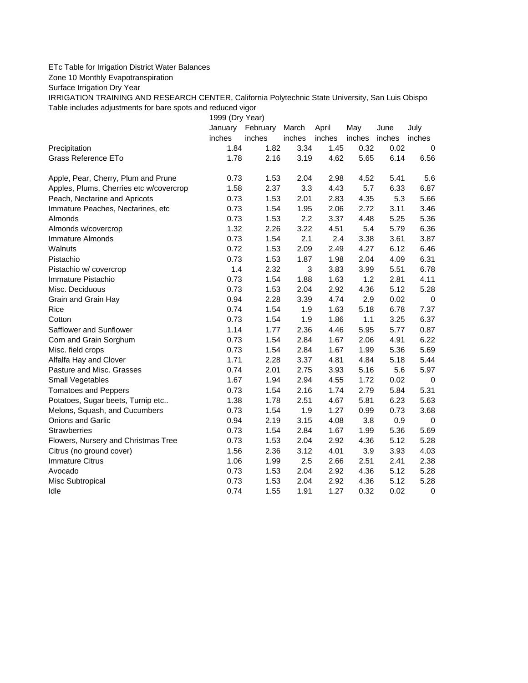## ETc Table for Irrigation District Water Balances

Zone 10 Monthly Evapotranspiration

Surface Irrigation Dry Year

IRRIGATION TRAINING AND RESEARCH CENTER, California Polytechnic State University, San Luis Obispo Table includes adjustments for bare spots and reduced vigor

1999 (Dry Year)

|                                         | January | February | March  | April  | May    | June   | July        |
|-----------------------------------------|---------|----------|--------|--------|--------|--------|-------------|
|                                         | inches  | inches   | inches | inches | inches | inches | inches      |
| Precipitation                           | 1.84    | 1.82     | 3.34   | 1.45   | 0.32   | 0.02   | $\mathbf 0$ |
| <b>Grass Reference ETo</b>              | 1.78    | 2.16     | 3.19   | 4.62   | 5.65   | 6.14   | 6.56        |
| Apple, Pear, Cherry, Plum and Prune     | 0.73    | 1.53     | 2.04   | 2.98   | 4.52   | 5.41   | 5.6         |
| Apples, Plums, Cherries etc w/covercrop | 1.58    | 2.37     | 3.3    | 4.43   | 5.7    | 6.33   | 6.87        |
| Peach, Nectarine and Apricots           | 0.73    | 1.53     | 2.01   | 2.83   | 4.35   | 5.3    | 5.66        |
| Immature Peaches, Nectarines, etc       | 0.73    | 1.54     | 1.95   | 2.06   | 2.72   | 3.11   | 3.46        |
| Almonds                                 | 0.73    | 1.53     | 2.2    | 3.37   | 4.48   | 5.25   | 5.36        |
| Almonds w/covercrop                     | 1.32    | 2.26     | 3.22   | 4.51   | 5.4    | 5.79   | 6.36        |
| <b>Immature Almonds</b>                 | 0.73    | 1.54     | 2.1    | 2.4    | 3.38   | 3.61   | 3.87        |
| Walnuts                                 | 0.72    | 1.53     | 2.09   | 2.49   | 4.27   | 6.12   | 6.46        |
| Pistachio                               | 0.73    | 1.53     | 1.87   | 1.98   | 2.04   | 4.09   | 6.31        |
| Pistachio w/ covercrop                  | 1.4     | 2.32     | 3      | 3.83   | 3.99   | 5.51   | 6.78        |
| Immature Pistachio                      | 0.73    | 1.54     | 1.88   | 1.63   | 1.2    | 2.81   | 4.11        |
| Misc. Deciduous                         | 0.73    | 1.53     | 2.04   | 2.92   | 4.36   | 5.12   | 5.28        |
| Grain and Grain Hay                     | 0.94    | 2.28     | 3.39   | 4.74   | 2.9    | 0.02   | 0           |
| <b>Rice</b>                             | 0.74    | 1.54     | 1.9    | 1.63   | 5.18   | 6.78   | 7.37        |
| Cotton                                  | 0.73    | 1.54     | 1.9    | 1.86   | 1.1    | 3.25   | 6.37        |
| Safflower and Sunflower                 | 1.14    | 1.77     | 2.36   | 4.46   | 5.95   | 5.77   | 0.87        |
| Corn and Grain Sorghum                  | 0.73    | 1.54     | 2.84   | 1.67   | 2.06   | 4.91   | 6.22        |
| Misc. field crops                       | 0.73    | 1.54     | 2.84   | 1.67   | 1.99   | 5.36   | 5.69        |
| Alfalfa Hay and Clover                  | 1.71    | 2.28     | 3.37   | 4.81   | 4.84   | 5.18   | 5.44        |
| Pasture and Misc. Grasses               | 0.74    | 2.01     | 2.75   | 3.93   | 5.16   | 5.6    | 5.97        |
| Small Vegetables                        | 1.67    | 1.94     | 2.94   | 4.55   | 1.72   | 0.02   | 0           |
| <b>Tomatoes and Peppers</b>             | 0.73    | 1.54     | 2.16   | 1.74   | 2.79   | 5.84   | 5.31        |
| Potatoes, Sugar beets, Turnip etc       | 1.38    | 1.78     | 2.51   | 4.67   | 5.81   | 6.23   | 5.63        |
| Melons, Squash, and Cucumbers           | 0.73    | 1.54     | 1.9    | 1.27   | 0.99   | 0.73   | 3.68        |
| <b>Onions and Garlic</b>                | 0.94    | 2.19     | 3.15   | 4.08   | 3.8    | 0.9    | $\mathbf 0$ |
| <b>Strawberries</b>                     | 0.73    | 1.54     | 2.84   | 1.67   | 1.99   | 5.36   | 5.69        |
| Flowers, Nursery and Christmas Tree     | 0.73    | 1.53     | 2.04   | 2.92   | 4.36   | 5.12   | 5.28        |
| Citrus (no ground cover)                | 1.56    | 2.36     | 3.12   | 4.01   | 3.9    | 3.93   | 4.03        |
| <b>Immature Citrus</b>                  | 1.06    | 1.99     | 2.5    | 2.66   | 2.51   | 2.41   | 2.38        |
| Avocado                                 | 0.73    | 1.53     | 2.04   | 2.92   | 4.36   | 5.12   | 5.28        |
| Misc Subtropical                        | 0.73    | 1.53     | 2.04   | 2.92   | 4.36   | 5.12   | 5.28        |
| Idle                                    | 0.74    | 1.55     | 1.91   | 1.27   | 0.32   | 0.02   | $\mathbf 0$ |